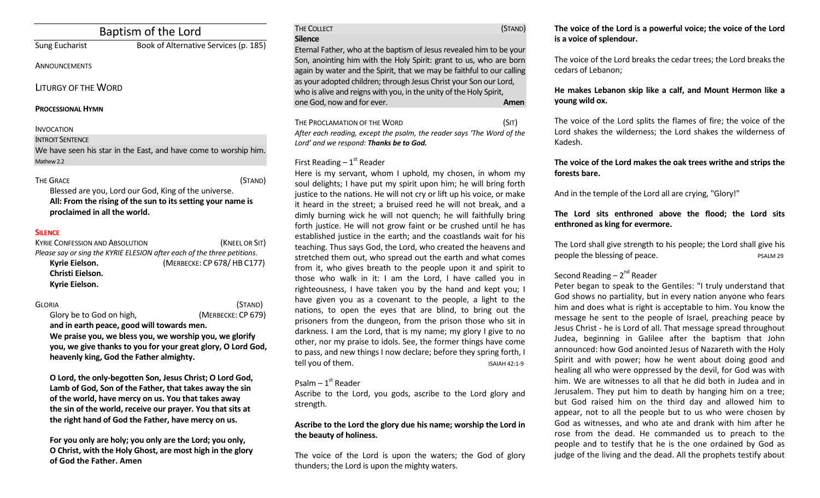# Baptism of the Lord

# Sung Eucharist Book of Alternative Services (p. 185)

#### ANNOUNCEMENTS

LITURGY OF THE WORD

#### **PROCESSIONAL HYMN**

### INVOCATION

#### INTROIT SENTENCE

We have seen his star in the East, and have come to worship him. Mathew 2.2

### THE GRACE (STAND)

Blessed are you, Lord our God, King of the universe. **All: From the rising of the sun to its setting your name is proclaimed in all the world.**

## **SILENCE**

| <b>KYRIE CONFESSION AND ABSOLUTION</b>                                  | (KNEEL OR SIT)             |  |  |
|-------------------------------------------------------------------------|----------------------------|--|--|
| Please say or sing the KYRIE ELESION after each of the three petitions. |                            |  |  |
| Kyrie Eielson.                                                          | (MERBECKE: CP 678/HB C177) |  |  |
| Christi Eielson.                                                        |                            |  |  |
| Kyrie Eielson.                                                          |                            |  |  |
|                                                                         |                            |  |  |

GLORIA (STAND) Glory be to God on high, *(MERBECKE: CP 679)* **and in earth peace, good will towards men. We praise you, we bless you, we worship you, we glorify you, we give thanks to you for your great glory, O Lord God, heavenly king, God the Father almighty.** 

**O Lord, the only-begotten Son, Jesus Christ; O Lord God, Lamb of God, Son of the Father, that takes away the sin of the world, have mercy on us. You that takes away the sin of the world, receive our prayer. You that sits at the right hand of God the Father, have mercy on us.** 

**For you only are holy; you only are the Lord; you only, O Christ, with the Holy Ghost, are most high in the glory of God the Father. Amen**

| <b>THE COLLECT</b>                                                    | (STAND) |
|-----------------------------------------------------------------------|---------|
| Silence                                                               |         |
| Eternal Father, who at the baptism of Jesus revealed him to be your   |         |
| Son, anointing him with the Holy Spirit: grant to us, who are born    |         |
| again by water and the Spirit, that we may be faithful to our calling |         |
| as your adopted children; through Jesus Christ your Son our Lord,     |         |
| who is alive and reigns with you, in the unity of the Holy Spirit,    |         |
| one God, now and for ever.                                            | Amen    |

THE PROCLAMATION OF THE WORD (SIT) *After each reading, except the psalm, the reader says 'The Word of the Lord' and we respond: Thanks be to God.* 

# First Reading  $-1<sup>st</sup>$  Reader

Here is my servant, whom I uphold, my chosen, in whom my soul delights; I have put my spirit upon him; he will bring forth justice to the nations. He will not cry or lift up his voice, or make it heard in the street; a bruised reed he will not break, and a dimly burning wick he will not quench; he will faithfully bring forth justice. He will not grow faint or be crushed until he has established justice in the earth; and the coastlands wait for his teaching. Thus says God, the Lord, who created the heavens and stretched them out, who spread out the earth and what comes from it, who gives breath to the people upon it and spirit to those who walk in it: I am the Lord, I have called you in righteousness, I have taken you by the hand and kept you; I have given you as a covenant to the people, a light to the nations, to open the eyes that are blind, to bring out the prisoners from the dungeon, from the prison those who sit in darkness. I am the Lord, that is my name; my glory I give to no other, nor my praise to idols. See, the former things have come to pass, and new things I now declare; before they spring forth, I tell you of them. In the set of them is a set of them is a set of the set of the set of the set of the set of the set of the set of the set of the set of the set of the set of the set of the set of the set of the set of th

# Psalm – 1st Reader

Ascribe to the Lord, you gods, ascribe to the Lord glory and strength.

## **Ascribe to the Lord the glory due his name; worship the Lord in the beauty of holiness.**

The voice of the Lord is upon the waters; the God of glory thunders; the Lord is upon the mighty waters.

# **The voice of the Lord is a powerful voice; the voice of the Lord is a voice of splendour.**

The voice of the Lord breaks the cedar trees; the Lord breaks the cedars of Lebanon;

# **He makes Lebanon skip like a calf, and Mount Hermon like a young wild ox.**

The voice of the Lord splits the flames of fire; the voice of the Lord shakes the wilderness; the Lord shakes the wilderness of Kadesh.

## **The voice of the Lord makes the oak trees writhe and strips the forests bare.**

And in the temple of the Lord all are crying, "Glory!"

## **The Lord sits enthroned above the flood; the Lord sits enthroned as king for evermore.**

The Lord shall give strength to his people; the Lord shall give his people the blessing of peace.

# Second Reading – 2<sup>nd</sup> Reader

Peter began to speak to the Gentiles: "I truly understand that God shows no partiality, but in every nation anyone who fears him and does what is right is acceptable to him. You know the message he sent to the people of Israel, preaching peace by Jesus Christ - he is Lord of all. That message spread throughout Judea, beginning in Galilee after the baptism that John announced: how God anointed Jesus of Nazareth with the Holy Spirit and with power; how he went about doing good and healing all who were oppressed by the devil, for God was with him. We are witnesses to all that he did both in Judea and in Jerusalem. They put him to death by hanging him on a tree; but God raised him on the third day and allowed him to appear, not to all the people but to us who were chosen by God as witnesses, and who ate and drank with him after he rose from the dead. He commanded us to preach to the people and to testify that he is the one ordained by God as judge of the living and the dead. All the prophets testify about